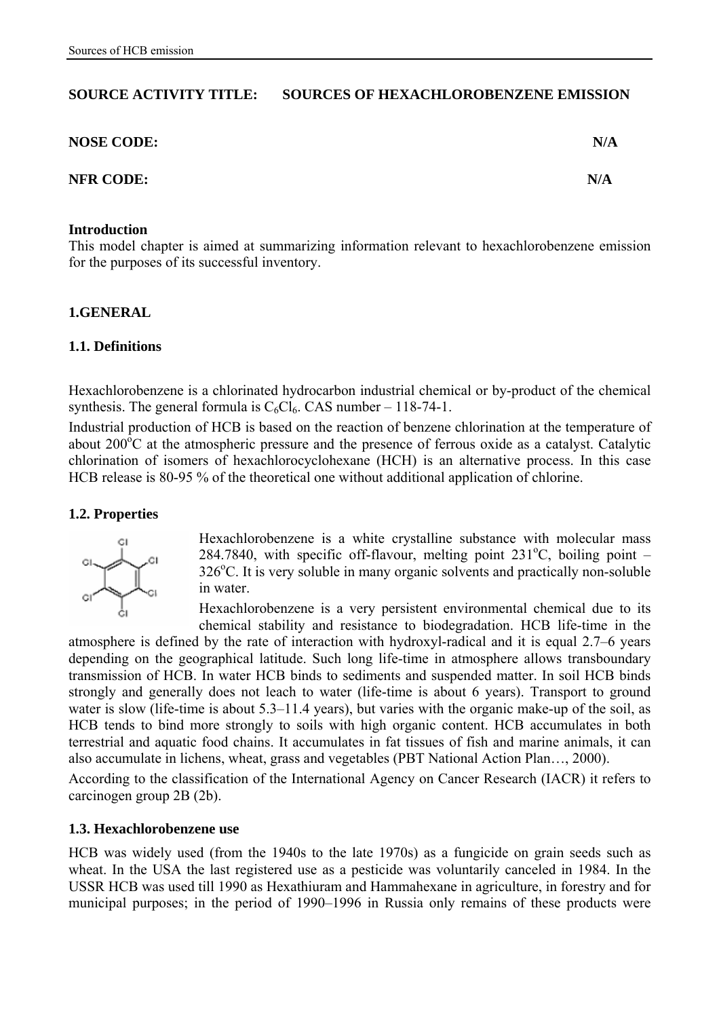### **SOURCE ACTIVITY TITLE: SOURCES OF HEXACHLOROBENZENE EMISSION**

| <b>NOSE CODE:</b> | N/A |
|-------------------|-----|
| <b>NFR CODE:</b>  | N/A |

#### **Introduction**

This model chapter is aimed at summarizing information relevant to hexachlorobenzene emission for the purposes of its successful inventory.

#### **1.GENERAL**

#### **1.1. Definitions**

Hexachlorobenzene is a chlorinated hydrocarbon industrial chemical or by-product of the chemical synthesis. The general formula is  $C_6Cl_6$ . CAS number – 118-74-1.

Industrial production of HCB is based on the reaction of benzene chlorination at the temperature of about  $200^{\circ}$ C at the atmospheric pressure and the presence of ferrous oxide as a catalyst. Catalytic chlorination of isomers of hexachlorocyclohexane (HCH) is an alternative process. In this case HCB release is 80-95 % of the theoretical one without additional application of chlorine.

#### **1.2. Properties**



Hexachlorobenzene is a white crystalline substance with molecular mass  $284.7840$ , with specific off-flavour, melting point  $231^{\circ}$ C, boiling point -326<sup>°</sup>C. It is very soluble in many organic solvents and practically non-soluble in water.

Hexachlorobenzene is a very persistent environmental chemical due to its chemical stability and resistance to biodegradation. HCB life-time in the

atmosphere is defined by the rate of interaction with hydroxyl-radical and it is equal 2.7–6 years depending on the geographical latitude. Such long life-time in atmosphere allows transboundary transmission of HCB. In water HCB binds to sediments and suspended matter. In soil HCB binds strongly and generally does not leach to water (life-time is about 6 years). Transport to ground water is slow (life-time is about 5.3–11.4 years), but varies with the organic make-up of the soil, as HCB tends to bind more strongly to soils with high organic content. HCB accumulates in both terrestrial and aquatic food chains. It accumulates in fat tissues of fish and marine animals, it can also accumulate in lichens, wheat, grass and vegetables (PBT National Action Plan…, 2000).

According to the classification of the International Agency on Cancer Research (IACR) it refers to carcinogen group 2B (2b).

### **1.3. Hexachlorobenzene use**

HCB was widely used (from the 1940s to the late 1970s) as a fungicide on grain seeds such as wheat. In the USA the last registered use as a pesticide was voluntarily canceled in 1984. In the USSR HCB was used till 1990 as Hexathiuram and Hammahexane in agriculture, in forestry and for municipal purposes; in the period of 1990–1996 in Russia only remains of these products were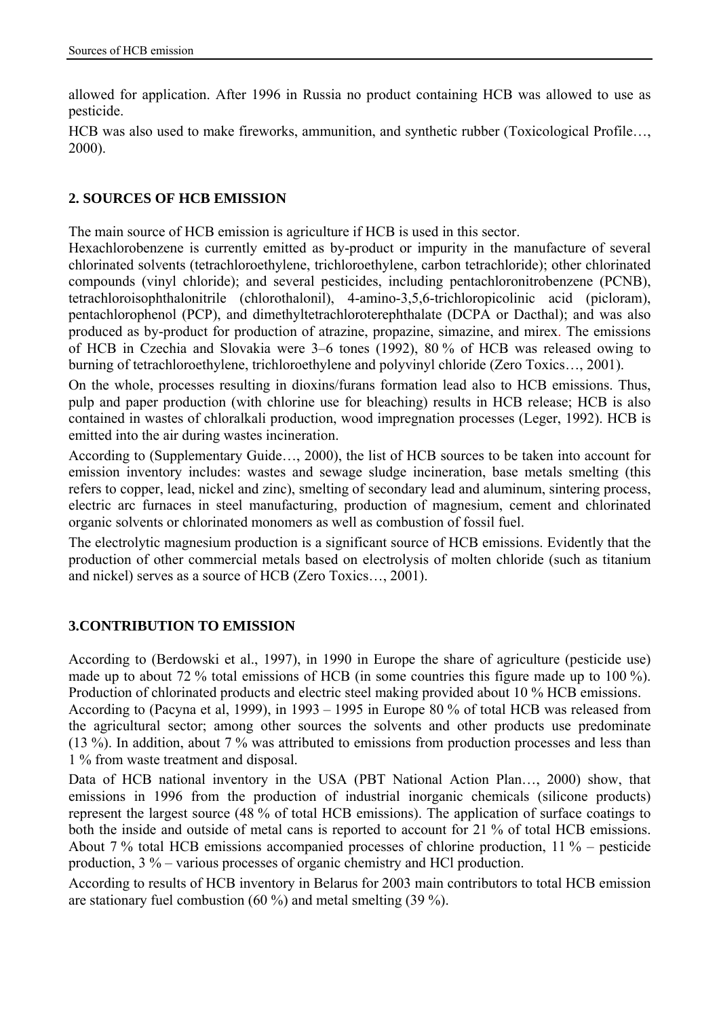allowed for application. After 1996 in Russia no product containing HCB was allowed to use as pesticide.

HCB was also used to make fireworks, ammunition, and synthetic rubber (Toxicological Profile…, 2000).

## **2. SOURCES OF HCB EMISSION**

The main source of HCB emission is agriculture if HCB is used in this sector.

Hexachlorobenzene is currently emitted as by-product or impurity in the manufacture of several chlorinated solvents (tetrachloroethylene, trichloroethylene, carbon tetrachloride); other chlorinated compounds (vinyl chloride); and several pesticides, including pentachloronitrobenzene (PCNB), tetrachloroisophthalonitrile (chlorothalonil), 4-amino-3,5,6-trichloropicolinic acid (picloram), pentachlorophenol (PCP), and dimethyltetrachloroterephthalate (DCPA or Dacthal); and was also produced as by-product for production of atrazine, propazine, simazine, and mirex. The emissions of HCB in Czechia and Slovakia were 3–6 tones (1992), 80 % of HCB was released owing to burning of tetrachloroethylene, trichloroethylene and polyvinyl chloride (Zero Toxics…, 2001).

On the whole, processes resulting in dioxins/furans formation lead also to HCB emissions. Thus, pulp and paper production (with chlorine use for bleaching) results in HCB release; HCB is also contained in wastes of chloralkali production, wood impregnation processes (Leger, 1992). HCB is emitted into the air during wastes incineration.

According to (Supplementary Guide…, 2000), the list of HCB sources to be taken into account for emission inventory includes: wastes and sewage sludge incineration, base metals smelting (this refers to copper, lead, nickel and zinc), smelting of secondary lead and aluminum, sintering process, electric arc furnaces in steel manufacturing, production of magnesium, cement and chlorinated organic solvents or chlorinated monomers as well as combustion of fossil fuel.

The electrolytic magnesium production is a significant source of HCB emissions. Evidently that the production of other commercial metals based on electrolysis of molten chloride (such as titanium and nickel) serves as a source of HCB (Zero Toxics…, 2001).

# **3.CONTRIBUTION TO EMISSION**

According to (Berdowski et al., 1997), in 1990 in Europe the share of agriculture (pesticide use) made up to about 72 % total emissions of HCB (in some countries this figure made up to 100 %). Production of chlorinated products and electric steel making provided about 10 % HCB emissions.

According to (Pacyna et al, 1999), in 1993 – 1995 in Europe 80 % of total HCB was released from the agricultural sector; among other sources the solvents and other products use predominate (13 %). In addition, about 7 % was attributed to emissions from production processes and less than 1 % from waste treatment and disposal.

Data of HCB national inventory in the USA (PBT National Action Plan…, 2000) show, that emissions in 1996 from the production of industrial inorganic chemicals (silicone products) represent the largest source (48 % of total HCB emissions). The application of surface coatings to both the inside and outside of metal cans is reported to account for 21 % of total HCB emissions. About 7 % total HCB emissions accompanied processes of chlorine production, 11 % – pesticide production, 3 % – various processes of organic chemistry and HCl production.

According to results of HCB inventory in Belarus for 2003 main contributors to total HCB emission are stationary fuel combustion (60 %) and metal smelting (39 %).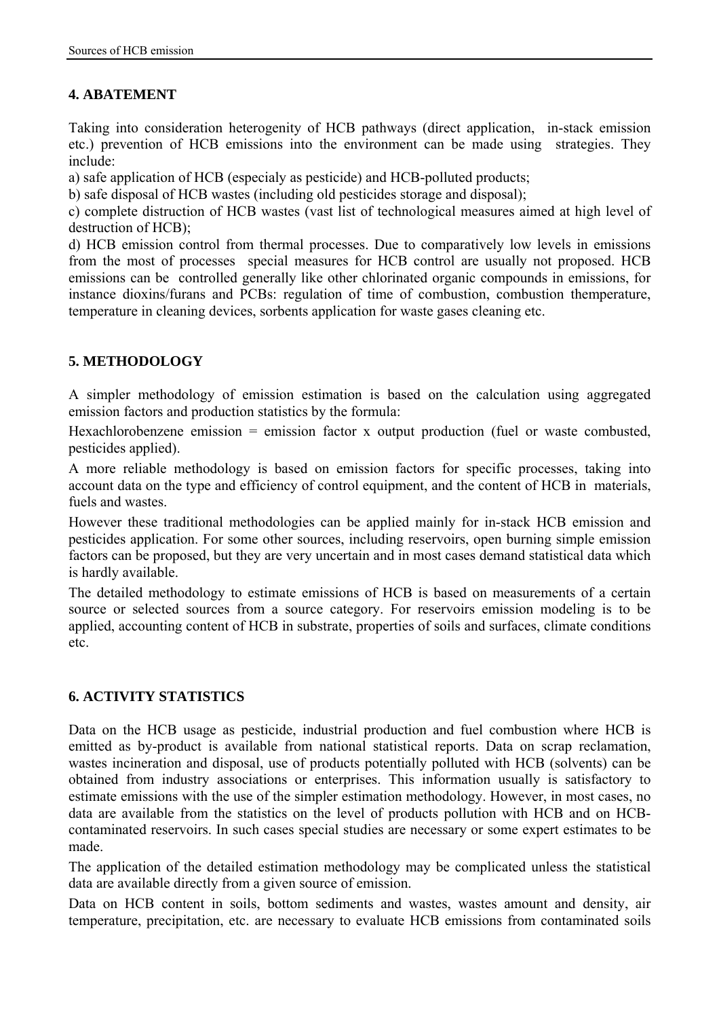# **4. ABATEMENT**

Taking into consideration heterogenity of HCB pathways (direct application, in-stack emission etc.) prevention of HCB emissions into the environment can be made using strategies. They include:

a) safe application of HCB (especialy as pesticide) and HCB-polluted products;

b) safe disposal of HCB wastes (including old pesticides storage and disposal);

c) complete distruction of HCB wastes (vast list of technological measures aimed at high level of destruction of HCB);

d) HCB emission control from thermal processes. Due to comparatively low levels in emissions from the most of processes special measures for HCB control are usually not proposed. HCB emissions can be controlled generally like other chlorinated organic compounds in emissions, for instance dioxins/furans and PCBs: regulation of time of combustion, combustion themperature, temperature in cleaning devices, sorbents application for waste gases cleaning etc.

# **5. METHODOLOGY**

A simpler methodology of emission estimation is based on the calculation using aggregated emission factors and production statistics by the formula:

Hexachlorobenzene emission = emission factor x output production (fuel or waste combusted, pesticides applied).

A more reliable methodology is based on emission factors for specific processes, taking into account data on the type and efficiency of control equipment, and the content of HCB in materials, fuels and wastes.

However these traditional methodologies can be applied mainly for in-stack HCB emission and pesticides application. For some other sources, including reservoirs, open burning simple emission factors can be proposed, but they are very uncertain and in most cases demand statistical data which is hardly available.

The detailed methodology to estimate emissions of HCB is based on measurements of a certain source or selected sources from a source category. For reservoirs emission modeling is to be applied, accounting content of HCB in substrate, properties of soils and surfaces, climate conditions etc.

# **6. ACTIVITY STATISTICS**

Data on the HCB usage as pesticide, industrial production and fuel combustion where HCB is emitted as by-product is available from national statistical reports. Data on scrap reclamation, wastes incineration and disposal, use of products potentially polluted with HCB (solvents) can be obtained from industry associations or enterprises. This information usually is satisfactory to estimate emissions with the use of the simpler estimation methodology. However, in most cases, no data are available from the statistics on the level of products pollution with HCB and on HCBcontaminated reservoirs. In such cases special studies are necessary or some expert estimates to be made.

The application of the detailed estimation methodology may be complicated unless the statistical data are available directly from a given source of emission.

Data on HCB content in soils, bottom sediments and wastes, wastes amount and density, air temperature, precipitation, etc. are necessary to evaluate HCB emissions from contaminated soils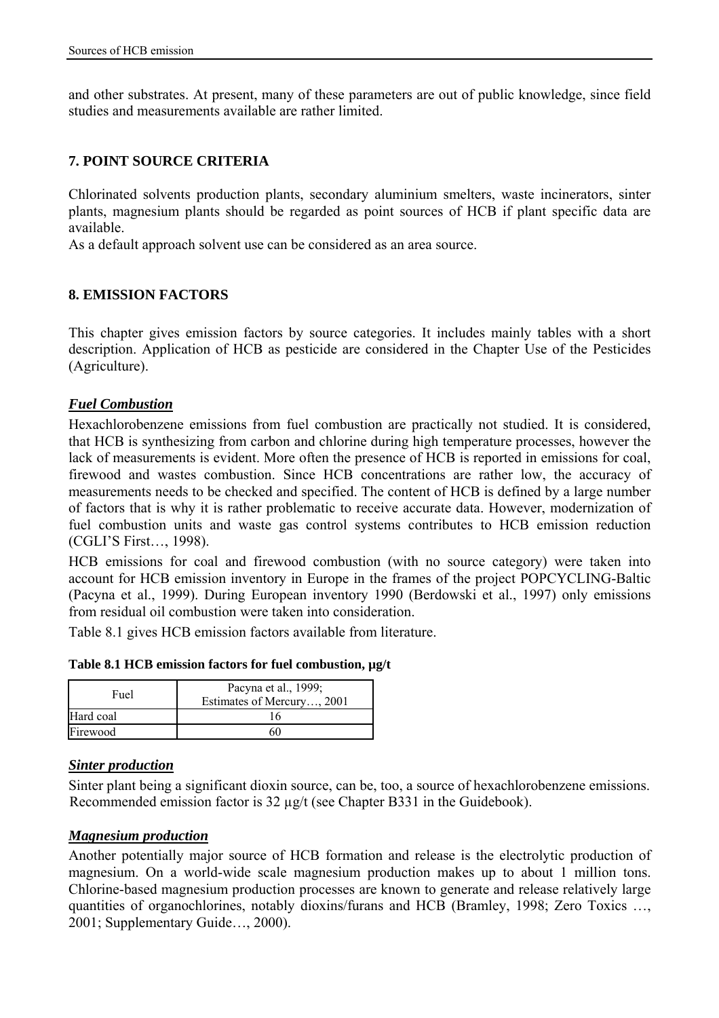and other substrates. At present, many of these parameters are out of public knowledge, since field studies and measurements available are rather limited.

## **7. POINT SOURCE CRITERIA**

Chlorinated solvents production plants, secondary aluminium smelters, waste incinerators, sinter plants, magnesium plants should be regarded as point sources of HCB if plant specific data are available.

As a default approach solvent use can be considered as an area source.

## **8. EMISSION FACTORS**

This chapter gives emission factors by source categories. It includes mainly tables with a short description. Application of HCB as pesticide are considered in the Chapter Use of the Pesticides (Agriculture).

### *Fuel Combustion*

Hexachlorobenzene emissions from fuel combustion are practically not studied. It is considered, that HCB is synthesizing from carbon and chlorine during high temperature processes, however the lack of measurements is evident. More often the presence of HCB is reported in emissions for coal, firewood and wastes combustion. Since HCB concentrations are rather low, the accuracy of measurements needs to be checked and specified. The content of HCB is defined by a large number of factors that is why it is rather problematic to receive accurate data. However, modernization of fuel combustion units and waste gas control systems contributes to HCB emission reduction (CGLI'S First…, 1998).

HCB emissions for coal and firewood combustion (with no source category) were taken into account for HCB emission inventory in Europe in the frames of the project POPCYCLING-Baltic (Pacyna et al., 1999). During European inventory 1990 (Berdowski et al., 1997) only emissions from residual oil combustion were taken into consideration.

Table 8.1 gives HCB emission factors available from literature.

| Table 8.1 HCB emission factors for fuel combustion, µg/t |  |  |  |  |  |  |
|----------------------------------------------------------|--|--|--|--|--|--|
|----------------------------------------------------------|--|--|--|--|--|--|

| Pacyna et al., 1999;<br>Fuel<br>Estimates of Mercury, 2001 |    |
|------------------------------------------------------------|----|
| Hard coal                                                  | 16 |
| Firewood                                                   |    |

### *Sinter production*

Sinter plant being a significant dioxin source, can be, too, a source of hexachlorobenzene emissions. Recommended emission factor is 32 µg/t (see Chapter B331 in the Guidebook).

### *Magnesium production*

Another potentially major source of HCB formation and release is the electrolytic production of magnesium. On a world-wide scale magnesium production makes up to about 1 million tons. Chlorine-based magnesium production processes are known to generate and release relatively large quantities of organochlorines, notably dioxins/furans and HCB (Bramley, 1998; Zero Toxics …, 2001; Supplementary Guide…, 2000).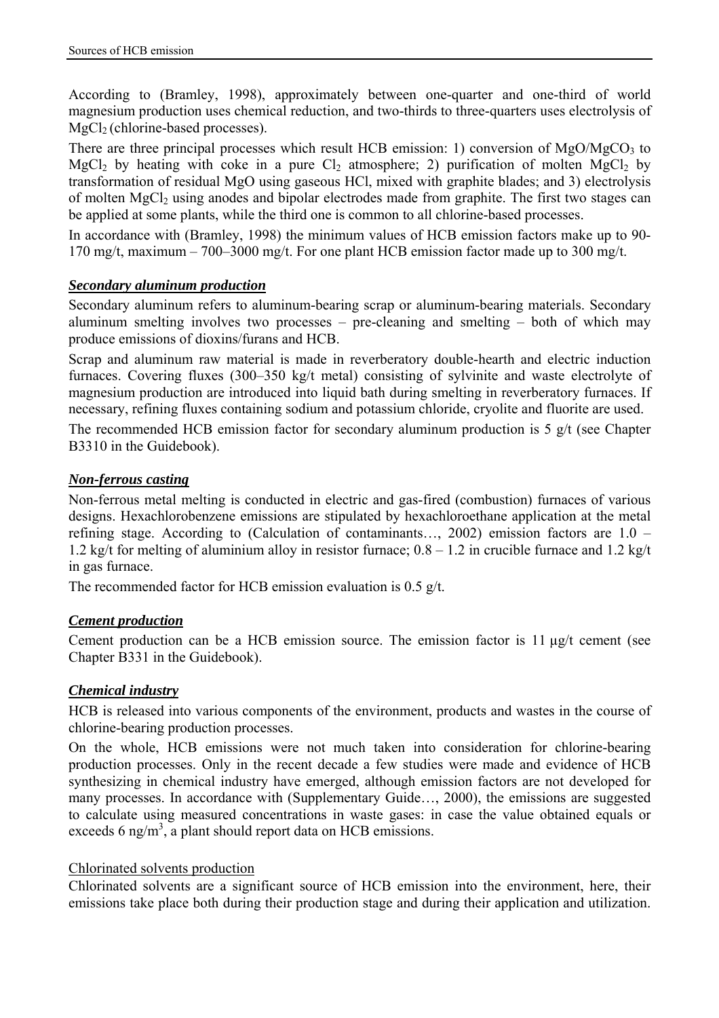According to (Bramley, 1998), approximately between one-quarter and one-third of world magnesium production uses chemical reduction, and two-thirds to three-quarters uses electrolysis of MgCl<sub>2</sub> (chlorine-based processes).

There are three principal processes which result HCB emission: 1) conversion of  $MgO/MgCO<sub>3</sub>$  to MgCl<sub>2</sub> by heating with coke in a pure Cl<sub>2</sub> atmosphere; 2) purification of molten MgCl<sub>2</sub> by transformation of residual MgO using gaseous HCl, mixed with graphite blades; and 3) electrolysis of molten  $MgCl<sub>2</sub>$  using anodes and bipolar electrodes made from graphite. The first two stages can be applied at some plants, while the third one is common to all chlorine-based processes.

In accordance with (Bramley, 1998) the minimum values of HCB emission factors make up to 90- 170 mg/t, maximum – 700–3000 mg/t. For one plant HCB emission factor made up to 300 mg/t.

## *Secondary aluminum production*

Secondary aluminum refers to aluminum-bearing scrap or aluminum-bearing materials. Secondary aluminum smelting involves two processes – pre-cleaning and smelting – both of which may produce emissions of dioxins/furans and HCB.

Scrap and aluminum raw material is made in reverberatory double-hearth and electric induction furnaces. Covering fluxes (300–350 kg/t metal) consisting of sylvinite and waste electrolyte of magnesium production are introduced into liquid bath during smelting in reverberatory furnaces. If necessary, refining fluxes containing sodium and potassium chloride, cryolite and fluorite are used.

The recommended HCB emission factor for secondary aluminum production is 5 g/t (see Chapter B3310 in the Guidebook).

## *Non-ferrous casting*

Non-ferrous metal melting is conducted in electric and gas-fired (combustion) furnaces of various designs. Hexachlorobenzene emissions are stipulated by hexachloroethane application at the metal refining stage. According to (Calculation of contaminants…, 2002) emission factors are 1.0 – 1.2 kg/t for melting of aluminium alloy in resistor furnace;  $0.8 - 1.2$  in crucible furnace and 1.2 kg/t in gas furnace.

The recommended factor for HCB emission evaluation is  $0.5 \frac{\text{g}}{\text{l}}$ .

## *Cement production*

Cement production can be a HCB emission source. The emission factor is 11 µg/t cement (see Chapter B331 in the Guidebook).

## *Chemical industry*

HCB is released into various components of the environment, products and wastes in the course of chlorine-bearing production processes.

On the whole, HCB emissions were not much taken into consideration for chlorine-bearing production processes. Only in the recent decade a few studies were made and evidence of HCB synthesizing in chemical industry have emerged, although emission factors are not developed for many processes. In accordance with (Supplementary Guide…, 2000), the emissions are suggested to calculate using measured concentrations in waste gases: in case the value obtained equals or exceeds 6 ng/m<sup>3</sup>, a plant should report data on HCB emissions.

## Chlorinated solvents production

Chlorinated solvents are a significant source of HCB emission into the environment, here, their emissions take place both during their production stage and during their application and utilization.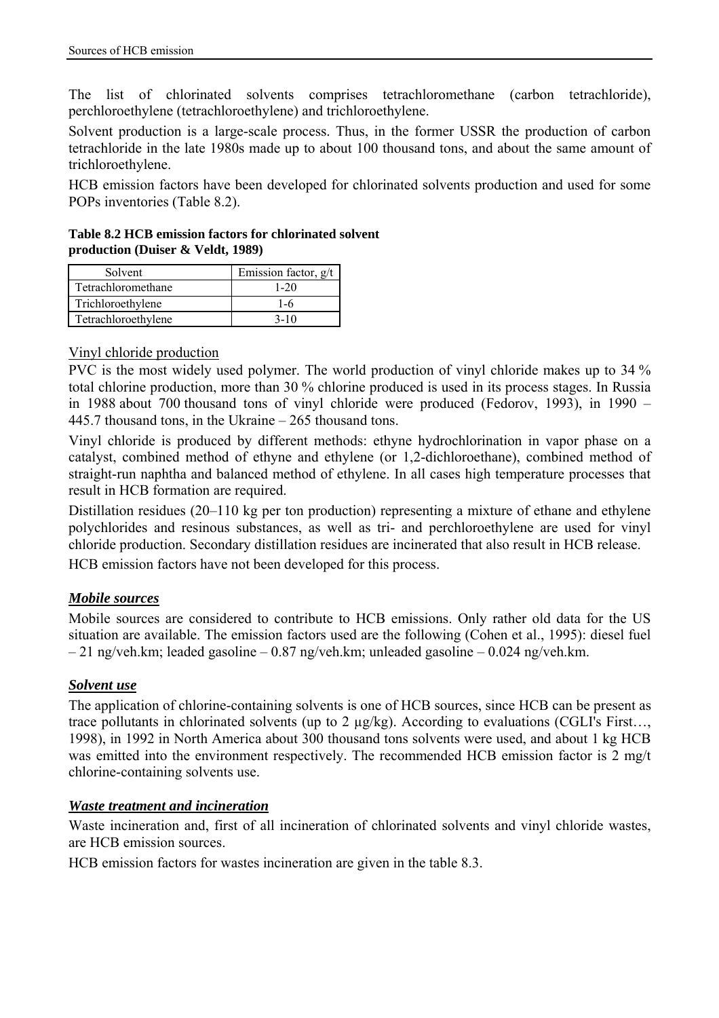The list of chlorinated solvents comprises tetrachloromethane (carbon tetrachloride), perchloroethylene (tetrachloroethylene) and trichloroethylene.

Solvent production is a large-scale process. Thus, in the former USSR the production of carbon tetrachloride in the late 1980s made up to about 100 thousand tons, and about the same amount of trichloroethylene.

HCB emission factors have been developed for chlorinated solvents production and used for some POPs inventories (Table 8.2).

**Table 8.2 HCB emission factors for chlorinated solvent production (Duiser & Veldt, 1989)** 

| Solvent             | Emission factor, g/t |
|---------------------|----------------------|
| Tetrachloromethane  | $1 - 20$             |
| Trichloroethylene   | 1-6                  |
| Tetrachloroethylene | $3 - 10$             |

## Vinyl chloride production

PVC is the most widely used polymer. The world production of vinyl chloride makes up to 34 % total chlorine production, more than 30 % chlorine produced is used in its process stages. In Russia in 1988 about 700 thousand tons of vinyl chloride were produced (Fedorov, 1993), in 1990 – 445.7 thousand tons, in the Ukraine – 265 thousand tons.

Vinyl chloride is produced by different methods: ethyne hydrochlorination in vapor phase on a catalyst, combined method of ethyne and ethylene (or 1,2-dichloroethane), combined method of straight-run naphtha and balanced method of ethylene. In all cases high temperature processes that result in HCB formation are required.

Distillation residues (20–110 kg per ton production) representing a mixture of ethane and ethylene polychlorides and resinous substances, as well as tri- and perchloroethylene are used for vinyl chloride production. Secondary distillation residues are incinerated that also result in HCB release.

HCB emission factors have not been developed for this process.

# *Mobile sources*

Mobile sources are considered to contribute to HCB emissions. Only rather old data for the US situation are available. The emission factors used are the following (Cohen et al., 1995): diesel fuel – 21 ng/veh.km; leaded gasoline – 0.87 ng/veh.km; unleaded gasoline – 0.024 ng/veh.km.

## *Solvent use*

The application of chlorine-containing solvents is one of HCB sources, since HCB can be present as trace pollutants in chlorinated solvents (up to 2 µg/kg). According to evaluations (CGLI's First…, 1998), in 1992 in North America about 300 thousand tons solvents were used, and about 1 kg HCB was emitted into the environment respectively. The recommended HCB emission factor is 2 mg/t chlorine-containing solvents use.

### *Waste treatment and incineration*

Waste incineration and, first of all incineration of chlorinated solvents and vinyl chloride wastes, are HCB emission sources.

HCB emission factors for wastes incineration are given in the table 8.3.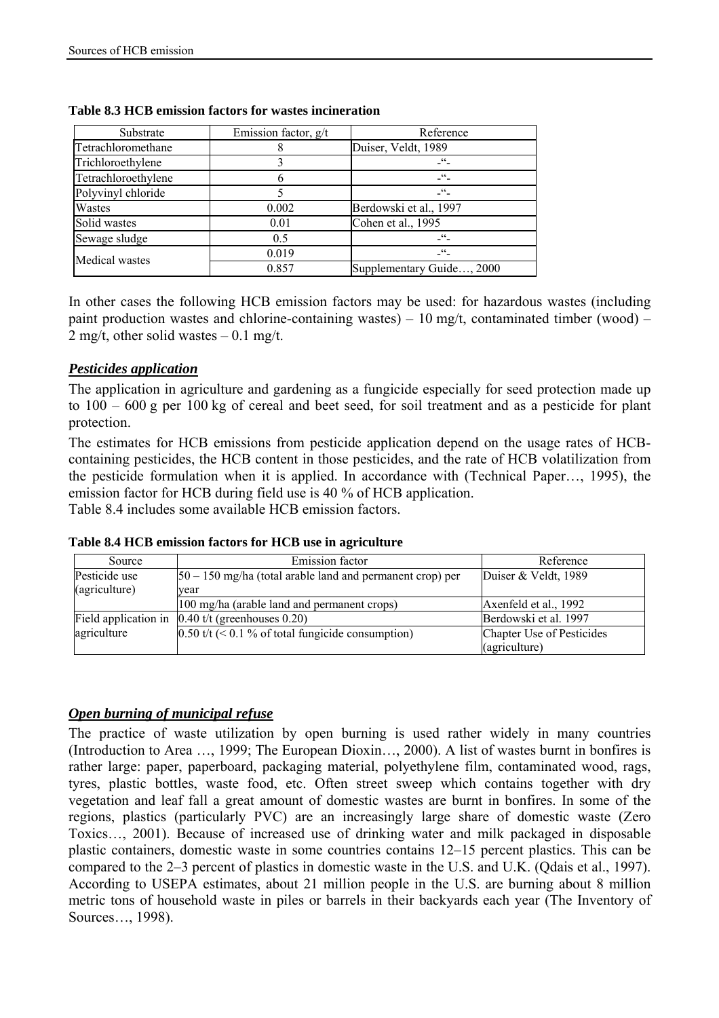| Substrate           | Emission factor, $g/t$ | Reference                 |
|---------------------|------------------------|---------------------------|
| Tetrachloromethane  |                        | Duiser, Veldt, 1989       |
| Trichloroethylene   |                        | cc                        |
| Tetrachloroethylene |                        | cc                        |
| Polyvinyl chloride  |                        | cc                        |
| Wastes              | 0.002                  | Berdowski et al., 1997    |
| Solid wastes        | 0.01                   | Cohen et al., 1995        |
| Sewage sludge       | 0.5                    | 66                        |
| Medical wastes      | 0.019                  |                           |
|                     | 0.857                  | Supplementary Guide, 2000 |

#### **Table 8.3 HCB emission factors for wastes incineration**

In other cases the following HCB emission factors may be used: for hazardous wastes (including paint production wastes and chlorine-containing wastes) –  $10 \text{ mg/t}$ , contaminated timber (wood) – 2 mg/t, other solid wastes  $-0.1$  mg/t.

### *Pesticides application*

The application in agriculture and gardening as a fungicide especially for seed protection made up to 100 – 600 g per 100 kg of cereal and beet seed, for soil treatment and as a pesticide for plant protection.

The estimates for HCB emissions from pesticide application depend on the usage rates of HCBcontaining pesticides, the HCB content in those pesticides, and the rate of HCB volatilization from the pesticide formulation when it is applied. In accordance with (Technical Paper…, 1995), the emission factor for HCB during field use is 40 % of HCB application.

Table 8.4 includes some available HCB emission factors.

|  |  |  |  |  |  |  |  | Table 8.4 HCB emission factors for HCB use in agriculture |
|--|--|--|--|--|--|--|--|-----------------------------------------------------------|
|--|--|--|--|--|--|--|--|-----------------------------------------------------------|

| Source               | Emission factor                                              | Reference                 |
|----------------------|--------------------------------------------------------------|---------------------------|
| Pesticide use        | $ 50 - 150$ mg/ha (total arable land and permanent crop) per | Duiser & Veldt, 1989      |
| (agriculture)        | vear                                                         |                           |
|                      | 100 mg/ha (arable land and permanent crops)                  | Axenfeld et al., 1992     |
| Field application in | $0.40$ t/t (greenhouses 0.20)                                | Berdowski et al. 1997     |
| agriculture          | $0.50$ t/t (< 0.1 % of total fungicide consumption)          | Chapter Use of Pesticides |
|                      |                                                              | (agriculture)             |

### *Open burning of municipal refuse*

The practice of waste utilization by open burning is used rather widely in many countries (Introduction to Area …, 1999; The European Dioxin…, 2000). A list of wastes burnt in bonfires is rather large: paper, paperboard, packaging material, polyethylene film, contaminated wood, rags, tyres, plastic bottles, waste food, etc. Often street sweep which contains together with dry vegetation and leaf fall a great amount of domestic wastes are burnt in bonfires. In some of the regions, plastics (particularly PVC) are an increasingly large share of domestic waste (Zero Toxics…, 2001). Because of increased use of drinking water and milk packaged in disposable plastic containers, domestic waste in some countries contains 12–15 percent plastics. This can be compared to the 2–3 percent of plastics in domestic waste in the U.S. and U.K. (Qdais et al., 1997). According to USEPA estimates, about 21 million people in the U.S. are burning about 8 million metric tons of household waste in piles or barrels in their backyards each year (The Inventory of Sources…, 1998).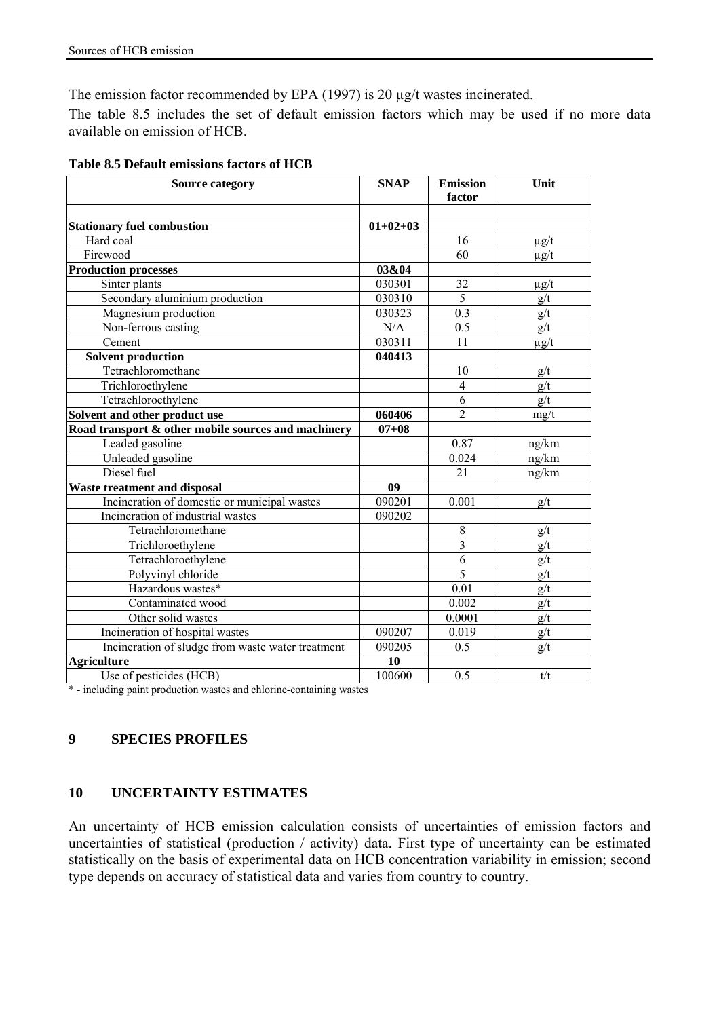The emission factor recommended by EPA (1997) is 20  $\mu$ g/t wastes incinerated.

The table 8.5 includes the set of default emission factors which may be used if no more data available on emission of HCB.

| <b>Source category</b>                              | <b>SNAP</b> | <b>Emission</b><br>factor | Unit      |
|-----------------------------------------------------|-------------|---------------------------|-----------|
| <b>Stationary fuel combustion</b>                   | $01+02+03$  |                           |           |
| Hard coal                                           |             | 16                        | $\mu$ g/t |
| Firewood                                            |             | 60                        | $\mu$ g/t |
| <b>Production processes</b>                         | 03&04       |                           |           |
| Sinter plants                                       | 030301      | 32                        | $\mu$ g/t |
| Secondary aluminium production                      | 030310      | 5                         | g/t       |
| Magnesium production                                | 030323      | 0.3                       | g/t       |
| Non-ferrous casting                                 | N/A         | $\overline{0.5}$          | g/t       |
| Cement                                              | 030311      | 11                        | $\mu$ g/t |
| <b>Solvent production</b>                           | 040413      |                           |           |
| Tetrachloromethane                                  |             | 10                        | g/t       |
| Trichloroethylene                                   |             | $\overline{4}$            | g/t       |
| Tetrachloroethylene                                 |             | 6                         | g/t       |
| Solvent and other product use                       | 060406      | $\overline{2}$            | mg/t      |
| Road transport & other mobile sources and machinery | $07 + 08$   |                           |           |
| Leaded gasoline                                     |             | 0.87                      | ng/km     |
| Unleaded gasoline                                   |             | 0.024                     | ng/km     |
| Diesel fuel                                         |             | 21                        | ng/km     |
| <b>Waste treatment and disposal</b>                 | 09          |                           |           |
| Incineration of domestic or municipal wastes        | 090201      | 0.001                     | g/t       |
| Incineration of industrial wastes                   | 090202      |                           |           |
| Tetrachloromethane                                  |             | $\,$ 8 $\,$               | g/t       |
| Trichloroethylene                                   |             | $\overline{\mathbf{3}}$   | g/t       |
| Tetrachloroethylene                                 |             | $\overline{6}$            | g/t       |
| Polyvinyl chloride                                  |             | 5                         | g/t       |
| Hazardous wastes*                                   |             | 0.01                      | g/t       |
| Contaminated wood                                   |             | 0.002                     | g/t       |
| Other solid wastes                                  |             | 0.0001                    | g/t       |
| Incineration of hospital wastes                     | 090207      | 0.019                     | g/t       |
| Incineration of sludge from waste water treatment   | 090205      | 0.5                       | g/t       |
| <b>Agriculture</b>                                  | 10          |                           |           |
| Use of pesticides (HCB)                             | 100600      | 0.5                       | t/t       |

\* - including paint production wastes and chlorine-containing wastes

# **9 SPECIES PROFILES**

## **10 UNCERTAINTY ESTIMATES**

An uncertainty of HCB emission calculation consists of uncertainties of emission factors and uncertainties of statistical (production / activity) data. First type of uncertainty can be estimated statistically on the basis of experimental data on HCB concentration variability in emission; second type depends on accuracy of statistical data and varies from country to country.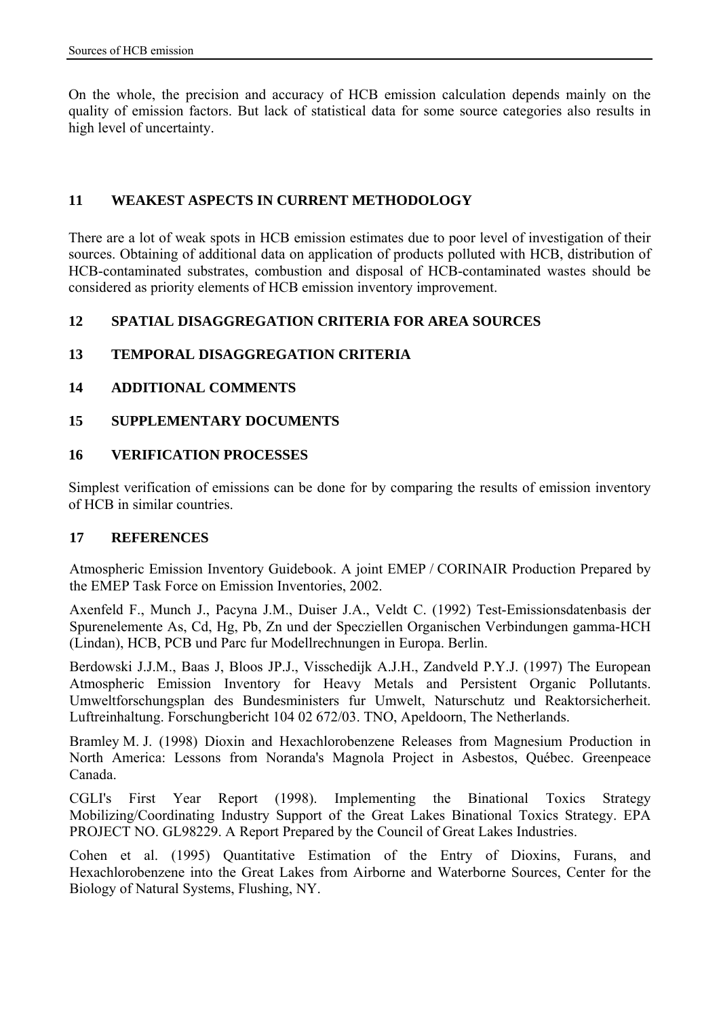On the whole, the precision and accuracy of HCB emission calculation depends mainly on the quality of emission factors. But lack of statistical data for some source categories also results in high level of uncertainty.

## **11 WEAKEST ASPECTS IN CURRENT METHODOLOGY**

There are a lot of weak spots in HCB emission estimates due to poor level of investigation of their sources. Obtaining of additional data on application of products polluted with HCB, distribution of HCB-contaminated substrates, combustion and disposal of HCB-contaminated wastes should be considered as priority elements of HCB emission inventory improvement.

## **12 SPATIAL DISAGGREGATION CRITERIA FOR AREA SOURCES**

# **13 TEMPORAL DISAGGREGATION CRITERIA**

# **14 ADDITIONAL COMMENTS**

## **15 SUPPLEMENTARY DOCUMENTS**

## **16 VERIFICATION PROCESSES**

Simplest verification of emissions can be done for by comparing the results of emission inventory of HCB in similar countries.

## **17 REFERENCES**

Atmospheric Emission Inventory Guidebook. A joint EMEP / CORINAIR Production Prepared by the EMEP Task Force on Emission Inventories, 2002.

Axenfeld F., Munch J., Pacyna J.M., Duiser J.A., Veldt C. (1992) Test-Emissionsdatenbasis der Spurenelemente As, Cd, Hg, Pb, Zn und der Specziellen Organischen Verbindungen gamma-HCH (Lindan), HCB, PCB und Parc fur Modellrechnungen in Europa. Berlin.

Berdowski J.J.M., Baas J, Bloos JP.J., Visschedijk A.J.H., Zandveld P.Y.J. (1997) The European Atmospheric Emission Inventory for Heavy Metals and Persistent Organic Pollutants. Umweltforschungsplan des Bundesministers fur Umwelt, Naturschutz und Reaktorsicherheit. Luftreinhaltung. Forschungbericht 104 02 672/03. TNO, Apeldoorn, The Netherlands.

Bramley M. J. (1998) Dioxin and Hexachlorobenzene Releases from Magnesium Production in North America: Lessons from Noranda's Magnola Project in Asbestos, Québec. Greenpeace Canada.

CGLI's First Year Report (1998). Implementing the Binational Toxics Strategy Mobilizing/Coordinating Industry Support of the Great Lakes Binational Toxics Strategy. EPA PROJECT NO. GL98229. A Report Prepared by the Council of Great Lakes Industries.

Cohen et al. (1995) Quantitative Estimation of the Entry of Dioxins, Furans, and Hexachlorobenzene into the Great Lakes from Airborne and Waterborne Sources, Center for the Biology of Natural Systems, Flushing, NY.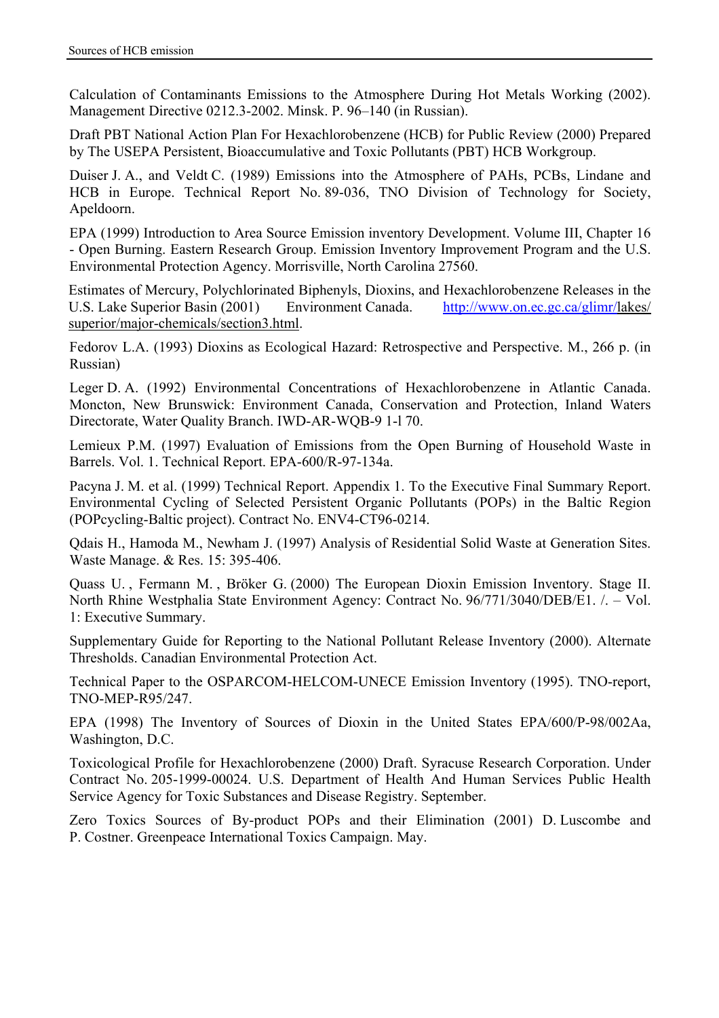Calculation of Contaminants Emissions to the Atmosphere During Hot Metals Working (2002). Management Directive 0212.3-2002. Minsk. P. 96–140 (in Russian).

Draft PBT National Action Plan For Hexachlorobenzene (HCB) for Public Review (2000) Prepared by The USEPA Persistent, Bioaccumulative and Toxic Pollutants (PBT) HCB Workgroup.

Duiser J. A., and Veldt C. (1989) Emissions into the Atmosphere of PAHs, PCBs, Lindane and HCB in Europe. Technical Report No. 89-036, TNO Division of Technology for Society, Apeldoorn.

EPA (1999) Introduction to Area Source Emission inventory Development. Volume III, Chapter 16 - Open Burning. Eastern Research Group. Emission Inventory Improvement Program and the U.S. Environmental Protection Agency. Morrisville, North Carolina 27560.

Estimates of Mercury, Polychlorinated Biphenyls, Dioxins, and Hexachlorobenzene Releases in the U.S. Lake Superior Basin (2001) Environment Canada. http://www.on.ec.gc.ca/glimr/lakes/ superior/major-chemicals/section3.html.

Fedorov L.A. (1993) Dioxins as Ecological Hazard: Retrospective and Perspective. M., 266 p. (in Russian)

Leger D. A. (1992) Environmental Concentrations of Hexachlorobenzene in Atlantic Canada. Moncton, New Brunswick: Environment Canada, Conservation and Protection, Inland Waters Directorate, Water Quality Branch. IWD-AR-WQB-9 1-l 70.

Lemieux P.M. (1997) Evaluation of Emissions from the Open Burning of Household Waste in Barrels. Vol. 1. Technical Report. EPA-600/R-97-134a.

Pacyna J. M. et al. (1999) Technical Report. Appendix 1. To the Executive Final Summary Report. Environmental Cycling of Selected Persistent Organic Pollutants (POPs) in the Baltic Region (POPcycling-Baltic project). Contract No. ENV4-CT96-0214.

Qdais H., Hamoda M., Newham J. (1997) Analysis of Residential Solid Waste at Generation Sites. Waste Manage. & Res. 15: 395-406.

Quass U. , Fermann M. , Bröker G. (2000) The European Dioxin Emission Inventory. Stage II. North Rhine Westphalia State Environment Agency: Contract No. 96/771/3040/DEB/E1. /. – Vol. 1: Executive Summary.

Supplementary Guide for Reporting to the National Pollutant Release Inventory (2000). Alternate Thresholds. Canadian Environmental Protection Act.

Technical Paper to the OSPARCOM-HELCOM-UNECE Emission Inventory (1995). TNO-report, TNO-MEP-R95/247.

EPA (1998) The Inventory of Sources of Dioxin in the United States EPA/600/P-98/002Aa, Washington, D.C.

Toxicological Profile for Hexachlorobenzene (2000) Draft. Syracuse Research Corporation. Under Contract No. 205-1999-00024. U.S. Department of Health And Human Services Public Health Service Agency for Toxic Substances and Disease Registry. September.

Zero Toxics Sources of By-product POPs and their Elimination (2001) D. Luscombe and P. Costner. Greenpeace International Toxics Campaign. May.